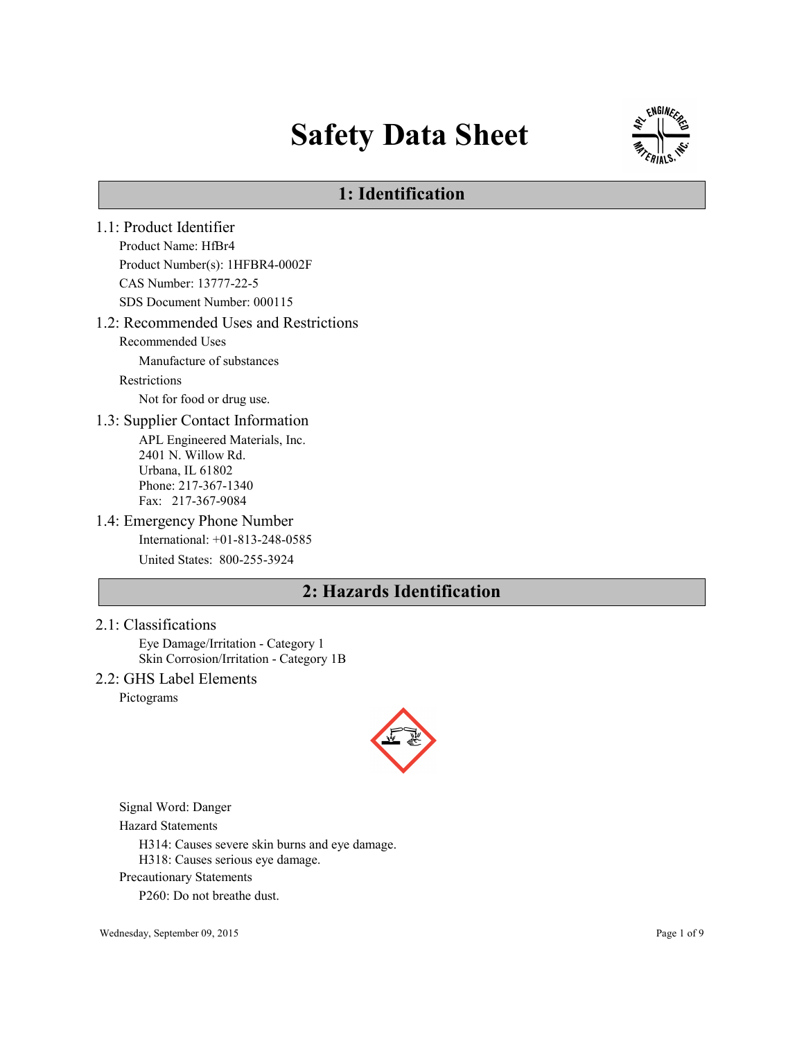# Safety Data Sheet



# 1: Identification

1.1: Product Identifier Product Name: HfBr4 Product Number(s): 1HFBR4-0002F CAS Number: 13777-22-5 SDS Document Number: 000115 1.2: Recommended Uses and Restrictions Recommended Uses Manufacture of substances Restrictions Not for food or drug use. 1.3: Supplier Contact Information APL Engineered Materials, Inc. 2401 N. Willow Rd. Urbana, IL 61802 Phone: 217-367-1340 Fax: 217-367-9084 1.4: Emergency Phone Number International: +01-813-248-0585 United States: 800-255-3924 2: Hazards Identification

#### 2.1: Classifications

Eye Damage/Irritation - Category 1 Skin Corrosion/Irritation - Category 1B

## 2.2: GHS Label Elements

Pictograms



Signal Word: Danger

Hazard Statements

H314: Causes severe skin burns and eye damage.

H318: Causes serious eye damage.

Precautionary Statements

P260: Do not breathe dust.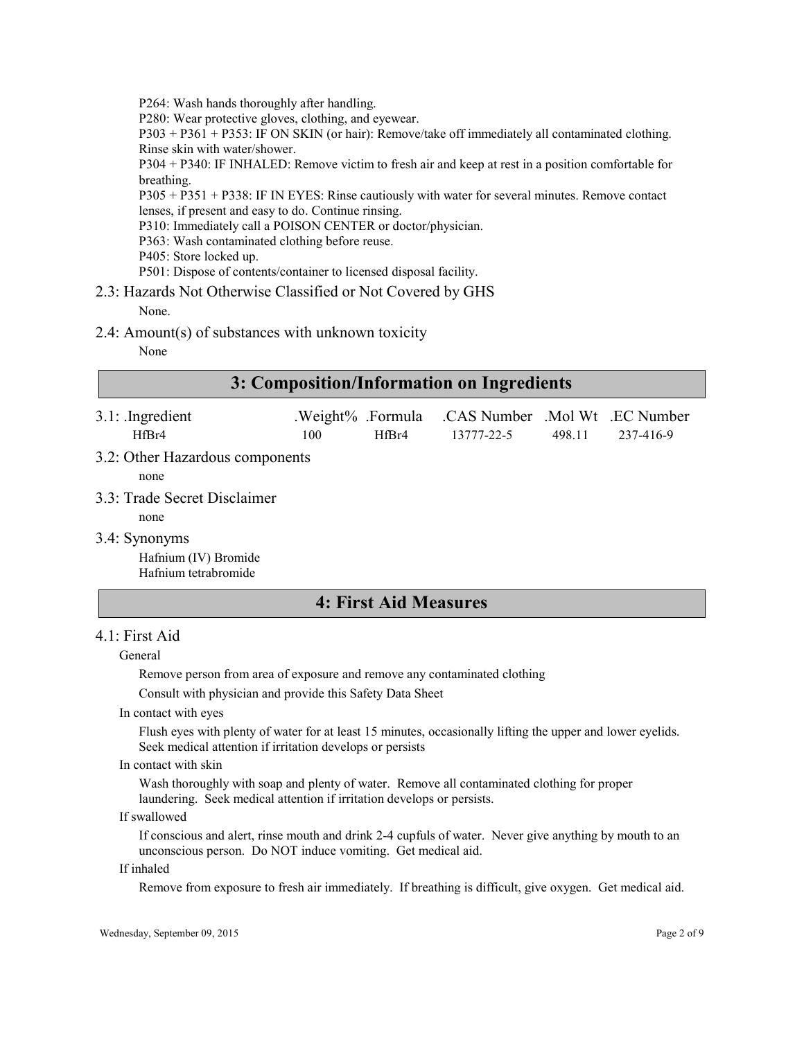P264: Wash hands thoroughly after handling.

P280: Wear protective gloves, clothing, and eyewear.

P303 + P361 + P353: IF ON SKIN (or hair): Remove/take off immediately all contaminated clothing. Rinse skin with water/shower.

P304 + P340: IF INHALED: Remove victim to fresh air and keep at rest in a position comfortable for breathing.

P305 + P351 + P338: IF IN EYES: Rinse cautiously with water for several minutes. Remove contact lenses, if present and easy to do. Continue rinsing.

P310: Immediately call a POISON CENTER or doctor/physician.

- P363: Wash contaminated clothing before reuse.
- P405: Store locked up.

P501: Dispose of contents/container to licensed disposal facility.

## 2.3: Hazards Not Otherwise Classified or Not Covered by GHS

None.

2.4: Amount(s) of substances with unknown toxicity

None

| 3: Composition/Information on Ingredients |  |
|-------------------------------------------|--|
|                                           |  |

| $3.1:$ Ingredient<br>HfBr4                                    | .Weight% .Formula<br>100 | HfBr4 | CAS Number Mol Wt EC Number<br>13777-22-5 | 498.11 | 237-416-9 |
|---------------------------------------------------------------|--------------------------|-------|-------------------------------------------|--------|-----------|
| 3.2: Other Hazardous components<br>none                       |                          |       |                                           |        |           |
| 3.3: Trade Secret Disclaimer<br>none                          |                          |       |                                           |        |           |
| 3.4: Synonyms<br>Hafnium (IV) Bromide<br>Hafnium tetrabromide |                          |       |                                           |        |           |

## 4: First Aid Measures

## 4.1: First Aid

#### General

Remove person from area of exposure and remove any contaminated clothing

Consult with physician and provide this Safety Data Sheet

In contact with eyes

Flush eyes with plenty of water for at least 15 minutes, occasionally lifting the upper and lower eyelids. Seek medical attention if irritation develops or persists

#### In contact with skin

Wash thoroughly with soap and plenty of water. Remove all contaminated clothing for proper laundering. Seek medical attention if irritation develops or persists.

#### If swallowed

If conscious and alert, rinse mouth and drink 2-4 cupfuls of water. Never give anything by mouth to an unconscious person. Do NOT induce vomiting. Get medical aid.

### If inhaled

Remove from exposure to fresh air immediately. If breathing is difficult, give oxygen. Get medical aid.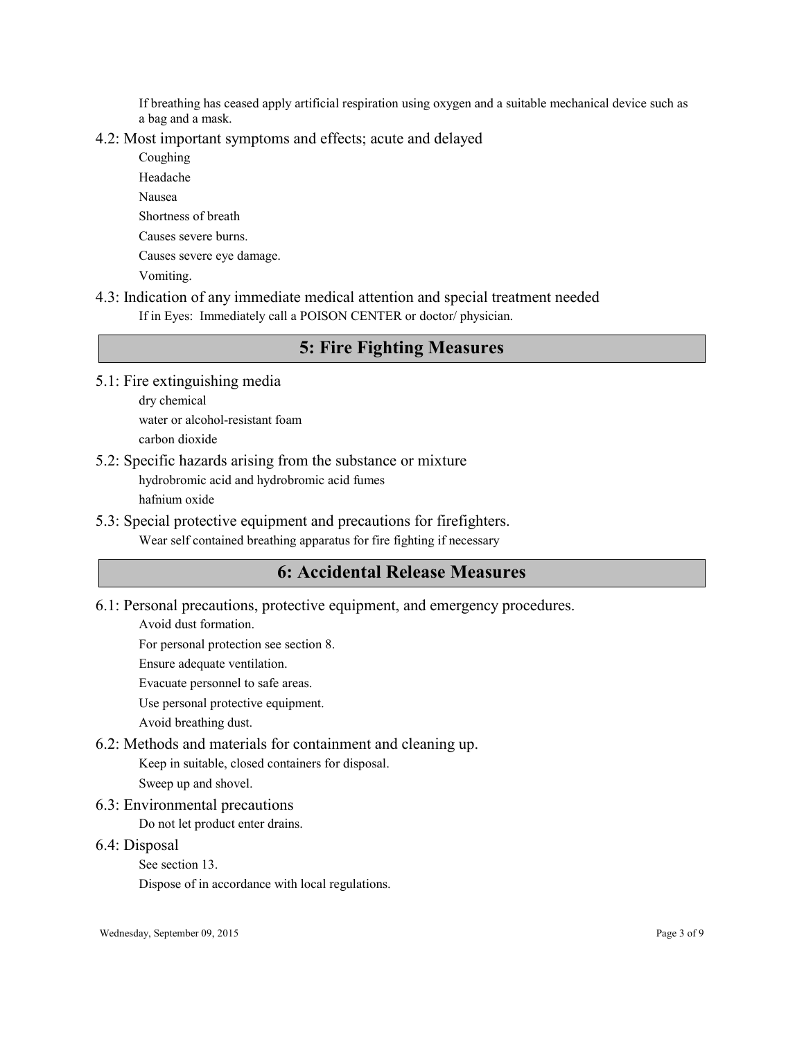If breathing has ceased apply artificial respiration using oxygen and a suitable mechanical device such as a bag and a mask.

## 4.2: Most important symptoms and effects; acute and delayed

Coughing Headache Nausea Shortness of breath Causes severe burns. Causes severe eye damage. Vomiting.

4.3: Indication of any immediate medical attention and special treatment needed

If in Eyes: Immediately call a POISON CENTER or doctor/ physician.

## 5: Fire Fighting Measures

5.1: Fire extinguishing media

dry chemical water or alcohol-resistant foam carbon dioxide

- 5.2: Specific hazards arising from the substance or mixture hydrobromic acid and hydrobromic acid fumes hafnium oxide
- 5.3: Special protective equipment and precautions for firefighters. Wear self contained breathing apparatus for fire fighting if necessary

# 6: Accidental Release Measures

6.1: Personal precautions, protective equipment, and emergency procedures.

Avoid dust formation.

For personal protection see section 8.

Ensure adequate ventilation.

Evacuate personnel to safe areas.

Use personal protective equipment.

Avoid breathing dust.

## 6.2: Methods and materials for containment and cleaning up.

Keep in suitable, closed containers for disposal.

Sweep up and shovel.

6.3: Environmental precautions

Do not let product enter drains.

6.4: Disposal

See section 13.

Dispose of in accordance with local regulations.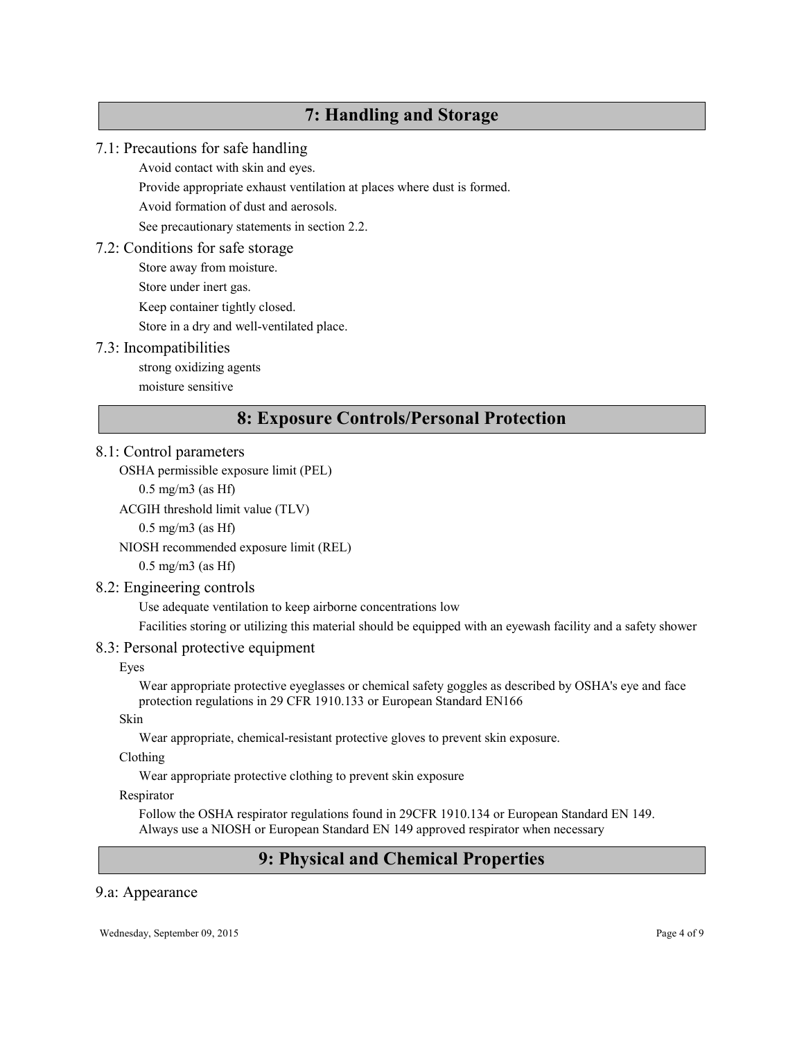# 7: Handling and Storage

## 7.1: Precautions for safe handling

Avoid contact with skin and eyes.

Provide appropriate exhaust ventilation at places where dust is formed.

Avoid formation of dust and aerosols.

See precautionary statements in section 2.2.

## 7.2: Conditions for safe storage

Store away from moisture.

Store under inert gas.

Keep container tightly closed.

Store in a dry and well-ventilated place.

## 7.3: Incompatibilities

strong oxidizing agents

moisture sensitive

## 8: Exposure Controls/Personal Protection

## 8.1: Control parameters

OSHA permissible exposure limit (PEL)

0.5 mg/m3 (as Hf)

ACGIH threshold limit value (TLV)

 $0.5$  mg/m $3$  (as Hf)

NIOSH recommended exposure limit (REL)

0.5 mg/m3 (as Hf)

## 8.2: Engineering controls

Use adequate ventilation to keep airborne concentrations low

Facilities storing or utilizing this material should be equipped with an eyewash facility and a safety shower

## 8.3: Personal protective equipment

## Eyes

Wear appropriate protective eyeglasses or chemical safety goggles as described by OSHA's eye and face protection regulations in 29 CFR 1910.133 or European Standard EN166

## Skin

Wear appropriate, chemical-resistant protective gloves to prevent skin exposure.

## Clothing

Wear appropriate protective clothing to prevent skin exposure

## Respirator

Follow the OSHA respirator regulations found in 29CFR 1910.134 or European Standard EN 149. Always use a NIOSH or European Standard EN 149 approved respirator when necessary

# 9: Physical and Chemical Properties

## 9.a: Appearance

Wednesday, September 09, 2015 Page 4 of 9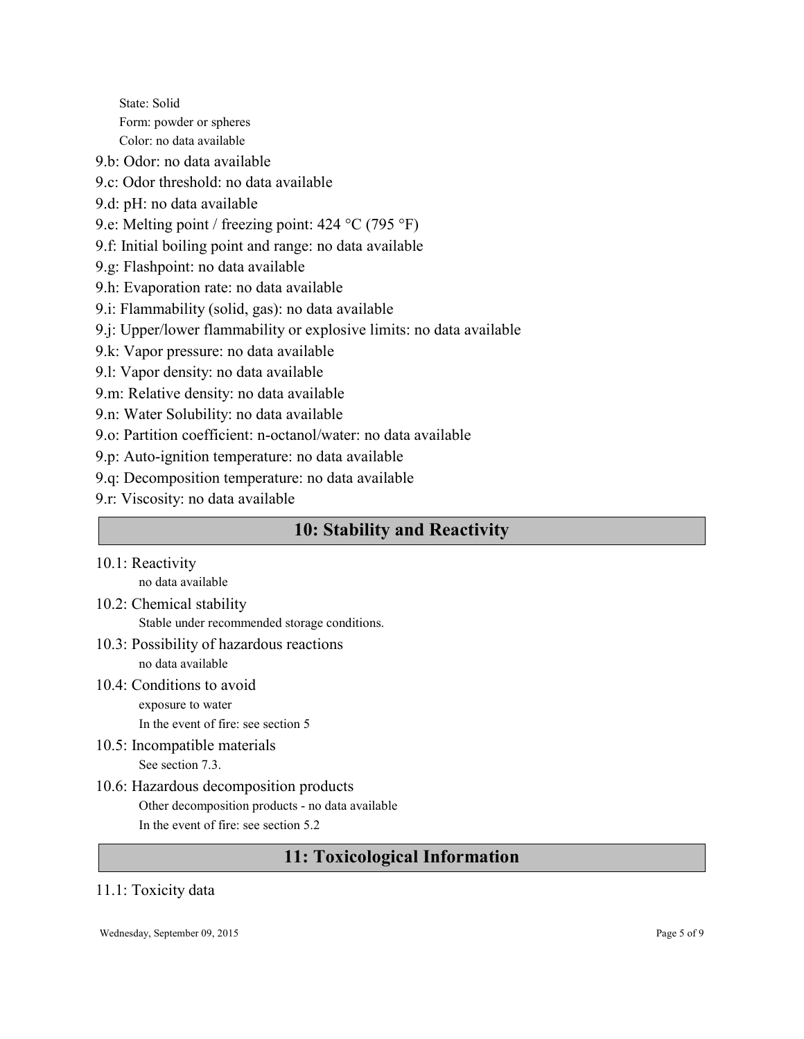State: Solid Form: powder or spheres Color: no data available

- 9.b: Odor: no data available
- 9.c: Odor threshold: no data available
- 9.d: pH: no data available
- 9.e: Melting point / freezing point: 424 °C (795 °F)
- 9.f: Initial boiling point and range: no data available
- 9.g: Flashpoint: no data available
- 9.h: Evaporation rate: no data available
- 9.i: Flammability (solid, gas): no data available
- 9.j: Upper/lower flammability or explosive limits: no data available
- 9.k: Vapor pressure: no data available
- 9.l: Vapor density: no data available
- 9.m: Relative density: no data available
- 9.n: Water Solubility: no data available
- 9.o: Partition coefficient: n-octanol/water: no data available
- 9.p: Auto-ignition temperature: no data available
- 9.q: Decomposition temperature: no data available
- 9.r: Viscosity: no data available

# 10: Stability and Reactivity

10.1: Reactivity

no data available

- 10.2: Chemical stability Stable under recommended storage conditions.
- 10.3: Possibility of hazardous reactions no data available
- 10.4: Conditions to avoid exposure to water

In the event of fire: see section 5

- 10.5: Incompatible materials See section 7.3.
- 10.6: Hazardous decomposition products Other decomposition products - no data available In the event of fire: see section 5.2

# 11: Toxicological Information

## 11.1: Toxicity data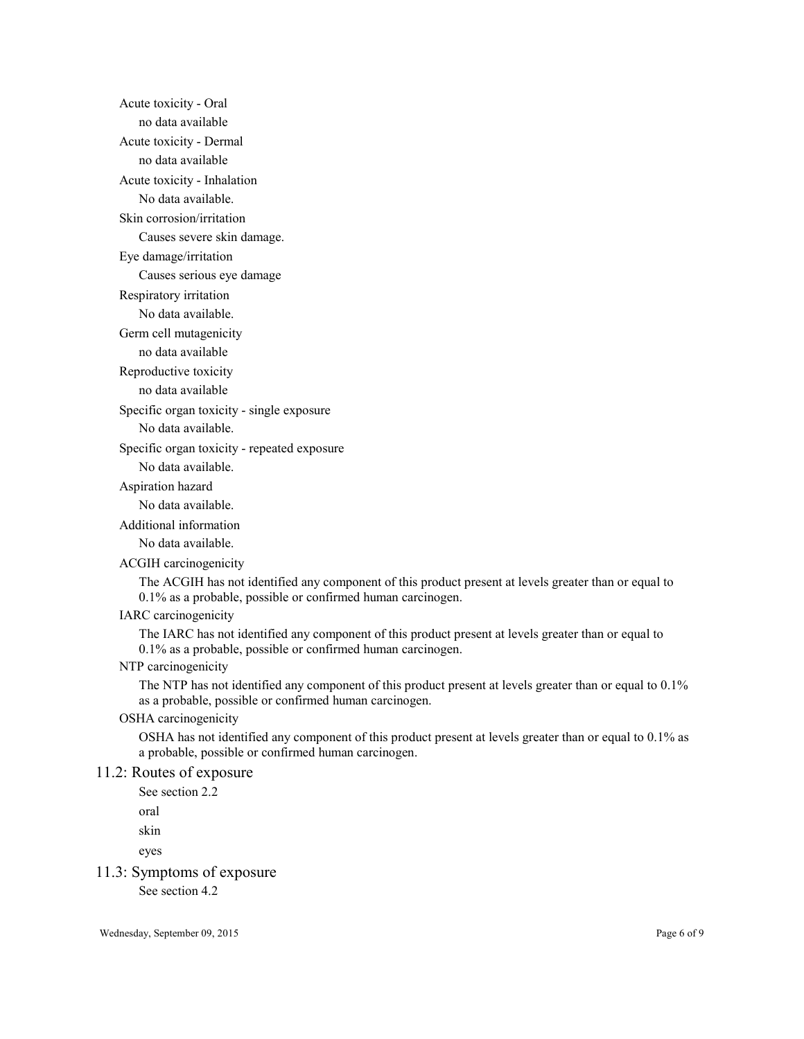Acute toxicity - Oral no data available Acute toxicity - Dermal no data available Acute toxicity - Inhalation No data available. Skin corrosion/irritation Causes severe skin damage. Eye damage/irritation Causes serious eye damage Respiratory irritation No data available. Germ cell mutagenicity no data available Reproductive toxicity no data available Specific organ toxicity - single exposure No data available. Specific organ toxicity - repeated exposure No data available. Aspiration hazard No data available. Additional information No data available. ACGIH carcinogenicity The ACGIH has not identified any component of this product present at levels greater than or equal to 0.1% as a probable, possible or confirmed human carcinogen. IARC carcinogenicity The IARC has not identified any component of this product present at levels greater than or equal to 0.1% as a probable, possible or confirmed human carcinogen.

NTP carcinogenicity

The NTP has not identified any component of this product present at levels greater than or equal to 0.1% as a probable, possible or confirmed human carcinogen.

OSHA carcinogenicity

OSHA has not identified any component of this product present at levels greater than or equal to 0.1% as a probable, possible or confirmed human carcinogen.

#### 11.2: Routes of exposure

See section 2.2

oral

skin

eyes

11.3: Symptoms of exposure

See section 4.2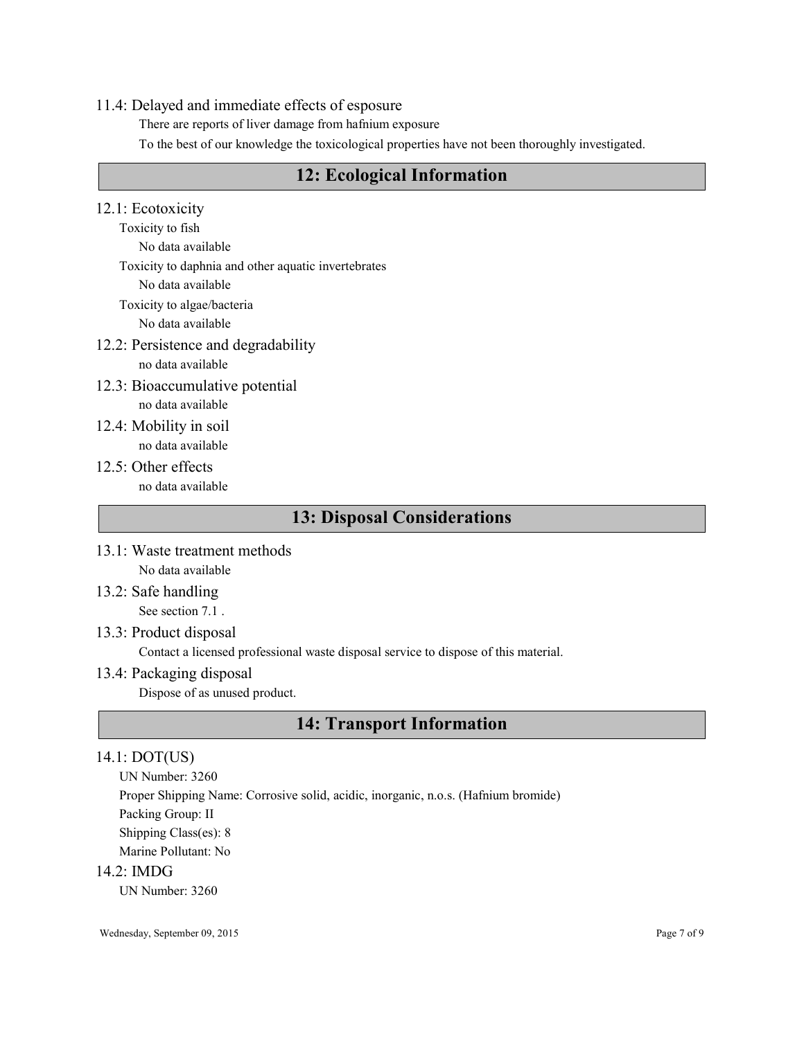## 11.4: Delayed and immediate effects of esposure

There are reports of liver damage from hafnium exposure

To the best of our knowledge the toxicological properties have not been thoroughly investigated.

# 12: Ecological Information

12.1: Ecotoxicity

Toxicity to fish No data available

Toxicity to daphnia and other aquatic invertebrates

No data available

Toxicity to algae/bacteria

No data available

12.2: Persistence and degradability

no data available

- 12.3: Bioaccumulative potential no data available
- 12.4: Mobility in soil no data available
- 12.5: Other effects no data available

# 13: Disposal Considerations

- 13.1: Waste treatment methods No data available
- 13.2: Safe handling See section 7.1 .
- 13.3: Product disposal

Contact a licensed professional waste disposal service to dispose of this material.

13.4: Packaging disposal

Dispose of as unused product.

# 14: Transport Information

## 14.1: DOT(US)

UN Number: 3260

Proper Shipping Name: Corrosive solid, acidic, inorganic, n.o.s. (Hafnium bromide)

Packing Group: II

Shipping Class(es): 8

Marine Pollutant: No

14.2: IMDG

UN Number: 3260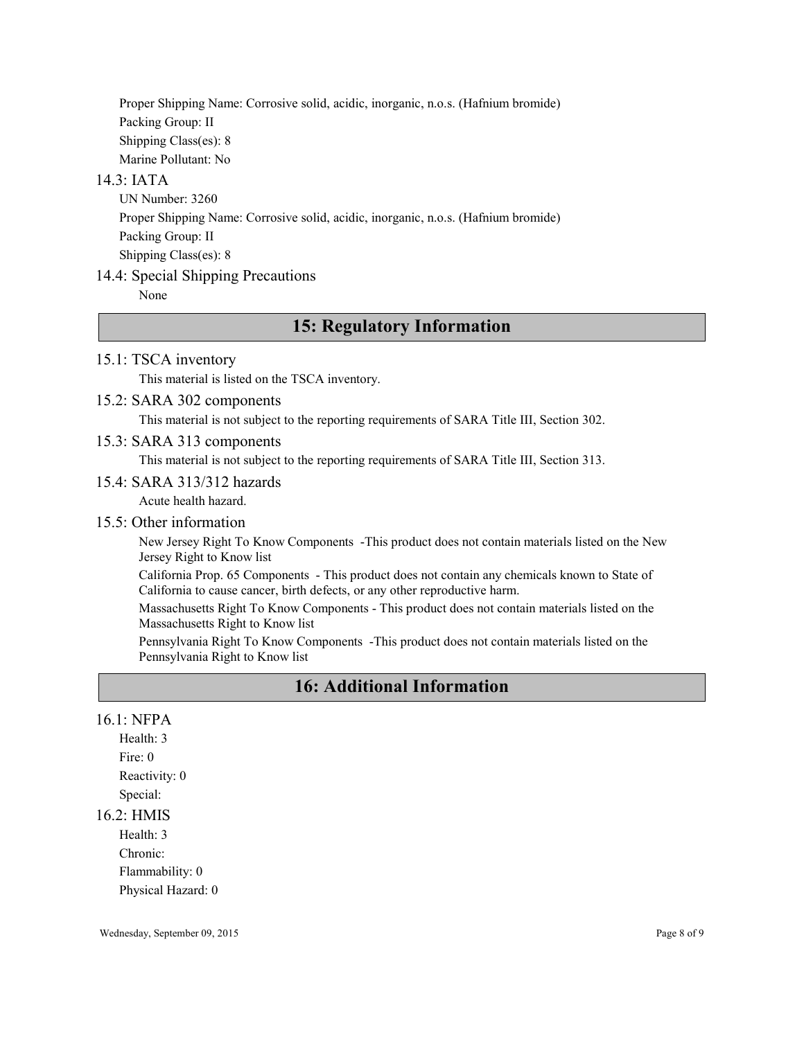Proper Shipping Name: Corrosive solid, acidic, inorganic, n.o.s. (Hafnium bromide) Packing Group: II Shipping Class(es): 8 Marine Pollutant: No

## 14.3: IATA

UN Number: 3260 Proper Shipping Name: Corrosive solid, acidic, inorganic, n.o.s. (Hafnium bromide) Packing Group: II Shipping Class(es): 8

## 14.4: Special Shipping Precautions

None

## 15: Regulatory Information

### 15.1: TSCA inventory

This material is listed on the TSCA inventory.

### 15.2: SARA 302 components

This material is not subject to the reporting requirements of SARA Title III, Section 302.

### 15.3: SARA 313 components

This material is not subject to the reporting requirements of SARA Title III, Section 313.

#### 15.4: SARA 313/312 hazards

Acute health hazard.

## 15.5: Other information

New Jersey Right To Know Components -This product does not contain materials listed on the New Jersey Right to Know list

California Prop. 65 Components - This product does not contain any chemicals known to State of California to cause cancer, birth defects, or any other reproductive harm.

Massachusetts Right To Know Components - This product does not contain materials listed on the Massachusetts Right to Know list

Pennsylvania Right To Know Components -This product does not contain materials listed on the Pennsylvania Right to Know list

# 16: Additional Information

### 16.1: NFPA

Health: 3 Fire: 0 Reactivity: 0 Special:

#### 16.2: HMIS

Health: 3 Chronic: Flammability: 0 Physical Hazard: 0